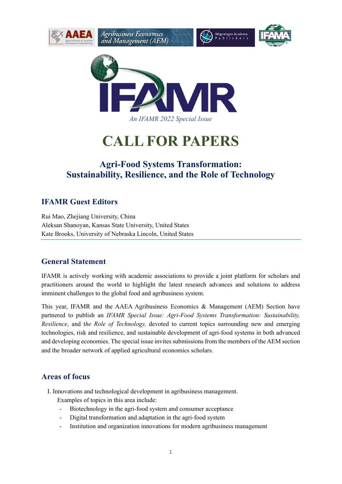



# **CALL FOR PAPERS**

# **Agri-Food Systems Transformation: Sustainability, Resilience, and the Role of Technology**

## **IFAMR Guest Editors**

Rui Mao, Zhejiang University, China Aleksan Shanoyan, Kansas State University, United States Kate Brooks, University of Nebraska Lincoln, United States

### **General Statement**

IFAMR is actively working with academic associations to provide a joint platform for scholars and practitioners around the world to highlight the latest research advances and solutions to address imminent challenges to the global food and agribusiness system.

This year, IFAMR and the AAEA Agribusiness Economics & Management (AEM) Section have partnered to publish an *IFAMR Special Issue: Agri-Food Systems Transformation: Sustainability, Resilience*, and t*he Role of Technology,* devoted to current topics surrounding new and emerging technologies, risk and resilience, and sustainable development of agri-food systems in both advanced and developing economies. The special issue invites submissions from the members of the AEM section and the broader network of applied agricultural economics scholars.

#### **Areas of focus**

I. Innovations and technological development in agribusiness management.

Examples of topics in this area include:

- Biotechnology in the agri-food system and consumer acceptance
- Digital transformation and adaptation in the agri-food system
- Institution and organization innovations for modern agribusiness management